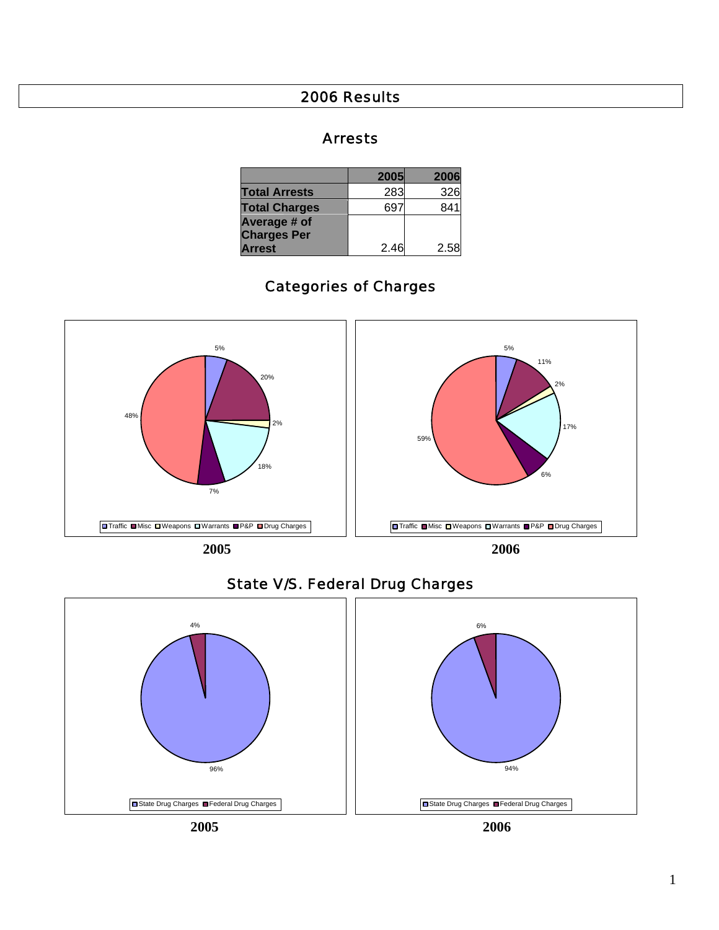#### 2006 Results

#### Arrests

|                      | 2005 | 2006 |
|----------------------|------|------|
| <b>Total Arrests</b> | 283  | 326  |
| <b>Total Charges</b> |      | 841  |
| Average # of         |      |      |
| <b>Charges Per</b>   |      |      |
| <b>Arrest</b>        | 2.46 | 2.58 |

## Categories of Charges





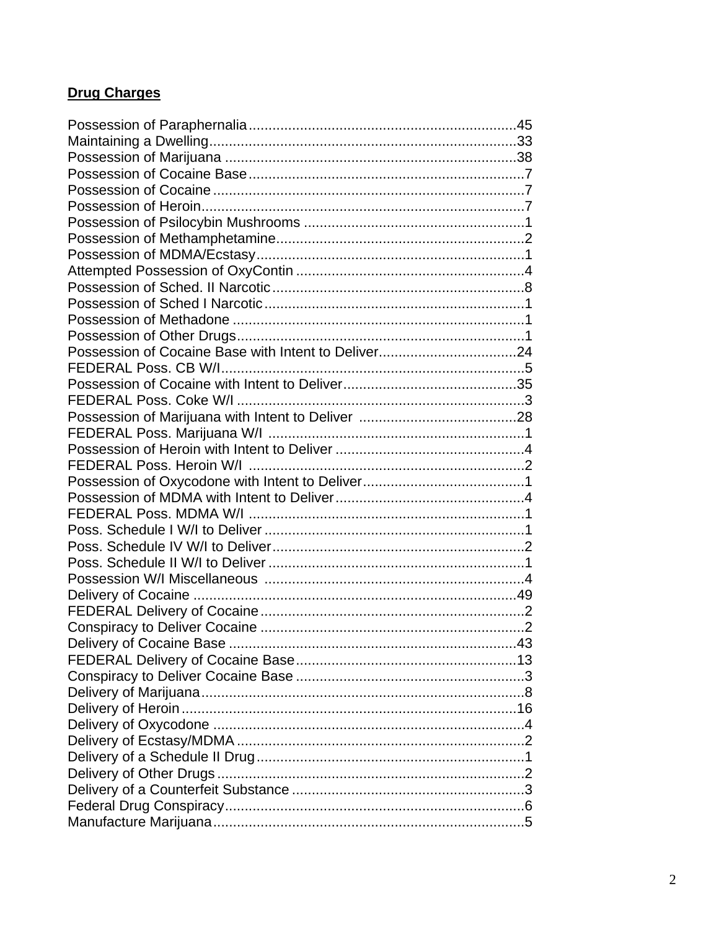### **Drug Charges**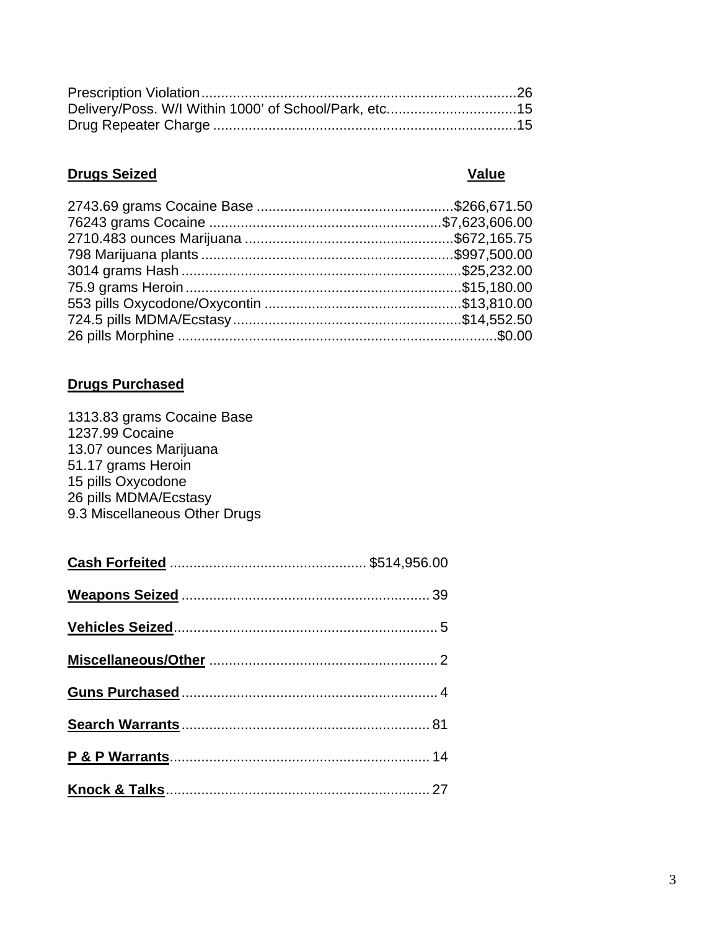| Delivery/Poss. W/I Within 1000' of School/Park, etc15 |  |
|-------------------------------------------------------|--|
|                                                       |  |

# **Drugs Seized Value**

# **Drugs Purchased**

| 1313.83 grams Cocaine Base    |  |
|-------------------------------|--|
| 1237.99 Cocaine               |  |
| 13.07 ounces Marijuana        |  |
| 51.17 grams Heroin            |  |
| 15 pills Oxycodone            |  |
| 26 pills MDMA/Ecstasy         |  |
| 9.3 Miscellaneous Other Drugs |  |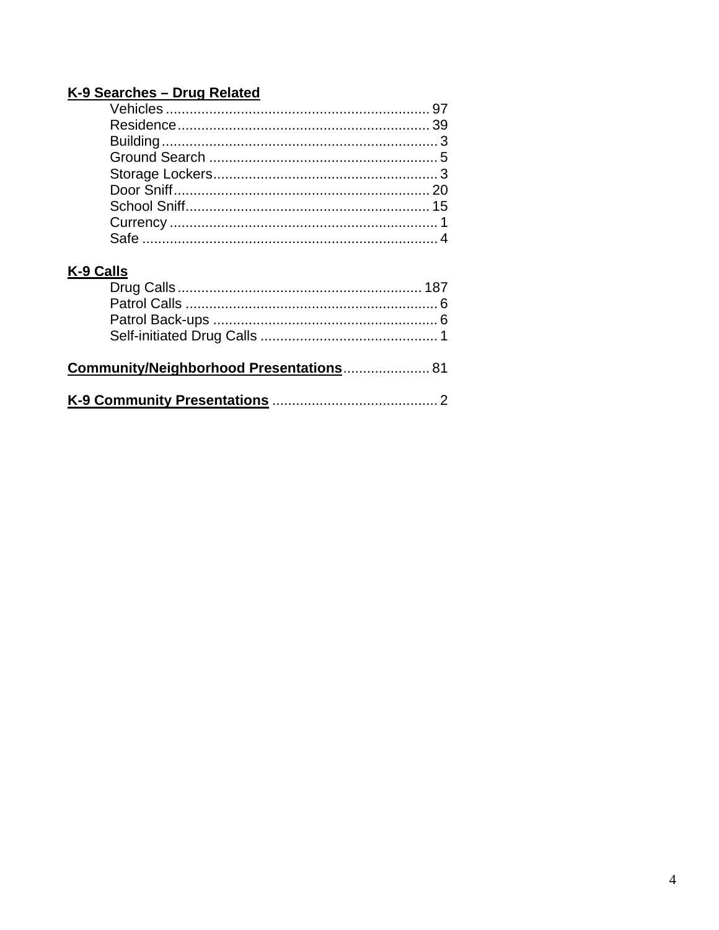#### K-9 Searches - Drug Related

## K-9 Calls

| Community/Neighborhood Presentations 81 |  |
|-----------------------------------------|--|
|                                         |  |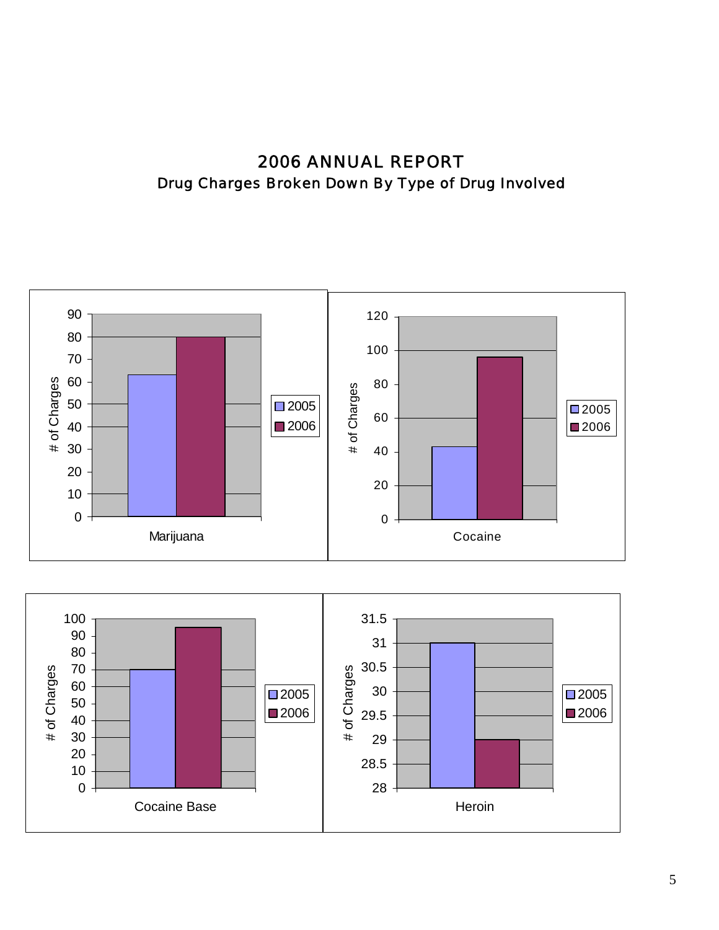2006 ANNUAL REPORT Drug Charges Broken Down By Type of Drug Involved



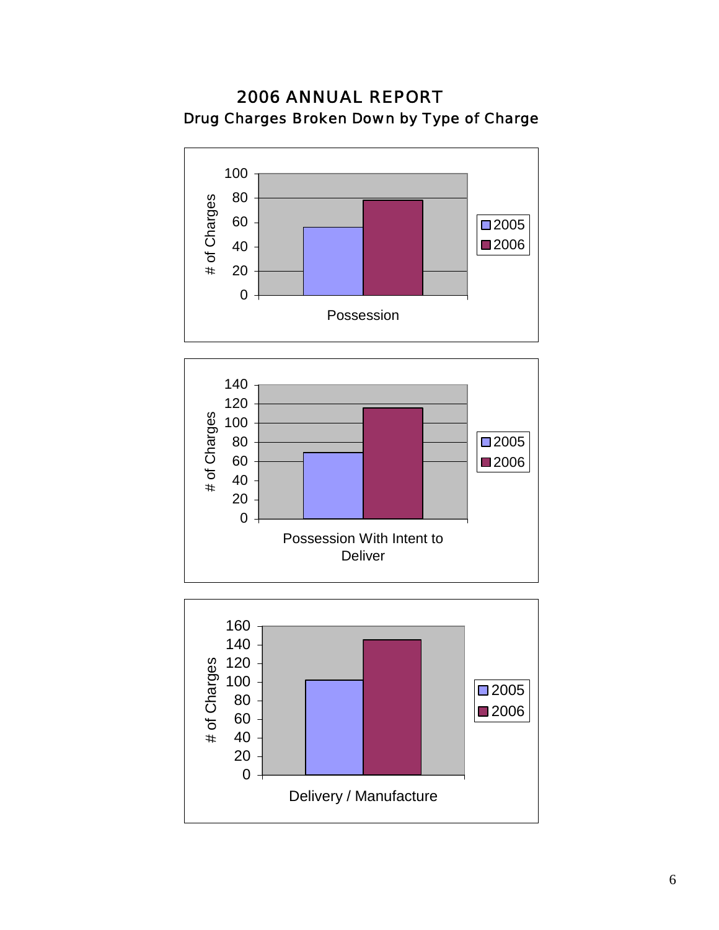# 2006 ANNUAL REPORT Drug Charges Broken Down by Type of Charge





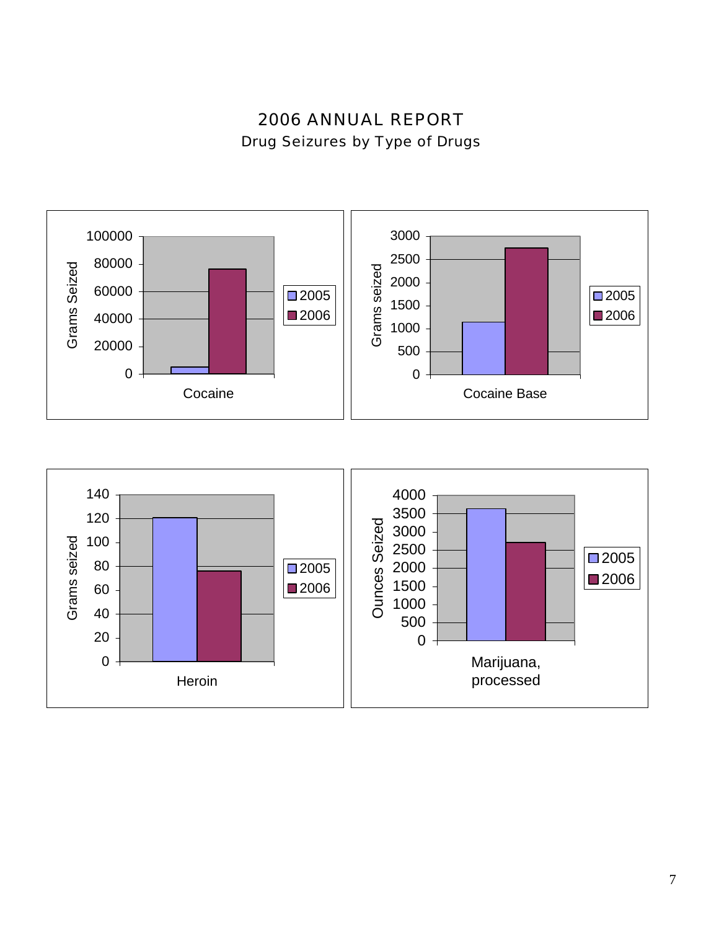2006 ANNUAL REPORT Drug Seizures by Type of Drugs